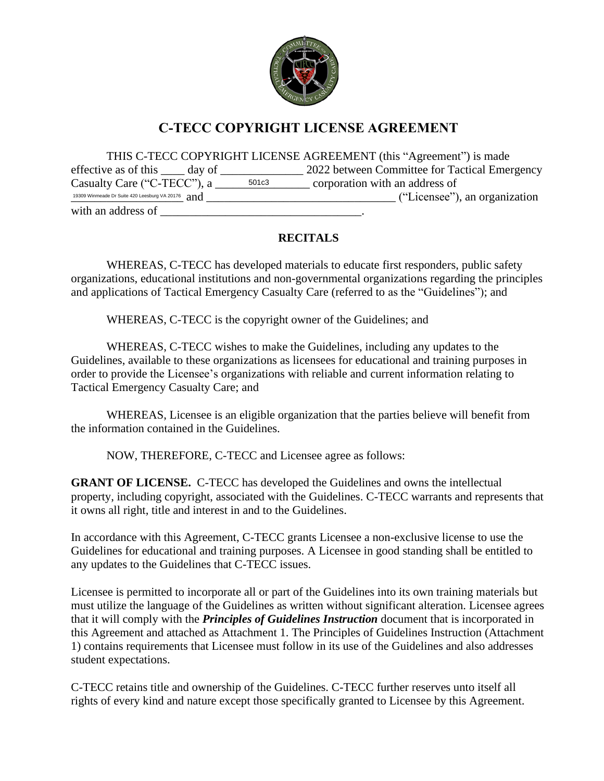

# **C-TECC COPYRIGHT LICENSE AGREEMENT**

THIS C-TECC COPYRIGHT LICENSE AGREEMENT (this "Agreement") is made effective as of this \_\_\_\_ day of \_\_\_\_\_\_\_\_\_\_\_\_\_\_\_\_ 2022 between Committee for Tactical Emergency  $\overline{\hspace{1cm}}$  =  $\overline{\hspace{1cm}}$  =  $\overline{\hspace{1cm}}$  corporation with an address of \_\_\_\_\_\_\_\_\_\_\_\_\_\_\_\_\_\_\_ and \_\_\_\_\_\_\_\_\_\_\_\_\_\_\_\_\_\_\_\_\_\_\_\_\_\_\_\_\_\_\_\_ ("Licensee"), an organization 19309 Winmeade Dr Suite 420 Leesburg VA 20176with an address of Casualty Care ("C-TECC"), a

### **RECITALS**

WHEREAS, C-TECC has developed materials to educate first responders, public safety organizations, educational institutions and non-governmental organizations regarding the principles and applications of Tactical Emergency Casualty Care (referred to as the "Guidelines"); and

WHEREAS, C-TECC is the copyright owner of the Guidelines; and

WHEREAS, C-TECC wishes to make the Guidelines, including any updates to the Guidelines, available to these organizations as licensees for educational and training purposes in order to provide the Licensee's organizations with reliable and current information relating to Tactical Emergency Casualty Care; and

WHEREAS, Licensee is an eligible organization that the parties believe will benefit from the information contained in the Guidelines.

NOW, THEREFORE, C-TECC and Licensee agree as follows:

**GRANT OF LICENSE.** C-TECC has developed the Guidelines and owns the intellectual property, including copyright, associated with the Guidelines. C-TECC warrants and represents that it owns all right, title and interest in and to the Guidelines.

In accordance with this Agreement, C-TECC grants Licensee a non-exclusive license to use the Guidelines for educational and training purposes. A Licensee in good standing shall be entitled to any updates to the Guidelines that C-TECC issues.

Licensee is permitted to incorporate all or part of the Guidelines into its own training materials but must utilize the language of the Guidelines as written without significant alteration. Licensee agrees that it will comply with the *Principles of Guidelines Instruction* document that is incorporated in this Agreement and attached as Attachment 1. The Principles of Guidelines Instruction (Attachment 1) contains requirements that Licensee must follow in its use of the Guidelines and also addresses student expectations.

C-TECC retains title and ownership of the Guidelines. C-TECC further reserves unto itself all rights of every kind and nature except those specifically granted to Licensee by this Agreement.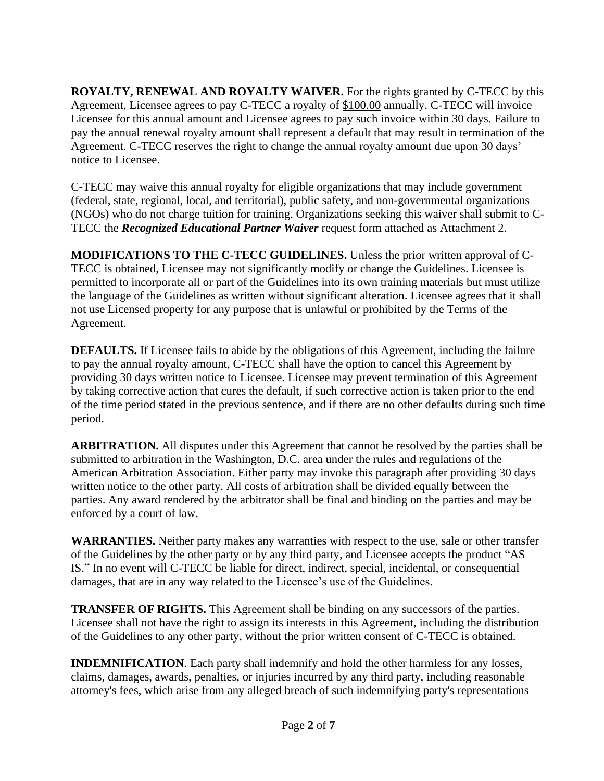**ROYALTY, RENEWAL AND ROYALTY WAIVER.** For the rights granted by C-TECC by this Agreement, Licensee agrees to pay C-TECC a royalty of \$100.00 annually. C-TECC will invoice Licensee for this annual amount and Licensee agrees to pay such invoice within 30 days. Failure to pay the annual renewal royalty amount shall represent a default that may result in termination of the Agreement. C-TECC reserves the right to change the annual royalty amount due upon 30 days' notice to Licensee.

C-TECC may waive this annual royalty for eligible organizations that may include government (federal, state, regional, local, and territorial), public safety, and non-governmental organizations (NGOs) who do not charge tuition for training. Organizations seeking this waiver shall submit to C-TECC the *Recognized Educational Partner Waiver* request form attached as Attachment 2.

**MODIFICATIONS TO THE C-TECC GUIDELINES.** Unless the prior written approval of C-TECC is obtained, Licensee may not significantly modify or change the Guidelines. Licensee is permitted to incorporate all or part of the Guidelines into its own training materials but must utilize the language of the Guidelines as written without significant alteration. Licensee agrees that it shall not use Licensed property for any purpose that is unlawful or prohibited by the Terms of the Agreement.

**DEFAULTS.** If Licensee fails to abide by the obligations of this Agreement, including the failure to pay the annual royalty amount, C-TECC shall have the option to cancel this Agreement by providing 30 days written notice to Licensee. Licensee may prevent termination of this Agreement by taking corrective action that cures the default, if such corrective action is taken prior to the end of the time period stated in the previous sentence, and if there are no other defaults during such time period.

**ARBITRATION.** All disputes under this Agreement that cannot be resolved by the parties shall be submitted to arbitration in the Washington, D.C. area under the rules and regulations of the American Arbitration Association. Either party may invoke this paragraph after providing 30 days written notice to the other party. All costs of arbitration shall be divided equally between the parties. Any award rendered by the arbitrator shall be final and binding on the parties and may be enforced by a court of law.

**WARRANTIES.** Neither party makes any warranties with respect to the use, sale or other transfer of the Guidelines by the other party or by any third party, and Licensee accepts the product "AS IS." In no event will C-TECC be liable for direct, indirect, special, incidental, or consequential damages, that are in any way related to the Licensee's use of the Guidelines.

**TRANSFER OF RIGHTS.** This Agreement shall be binding on any successors of the parties. Licensee shall not have the right to assign its interests in this Agreement, including the distribution of the Guidelines to any other party, without the prior written consent of C-TECC is obtained.

**INDEMNIFICATION**. Each party shall indemnify and hold the other harmless for any losses, claims, damages, awards, penalties, or injuries incurred by any third party, including reasonable attorney's fees, which arise from any alleged breach of such indemnifying party's representations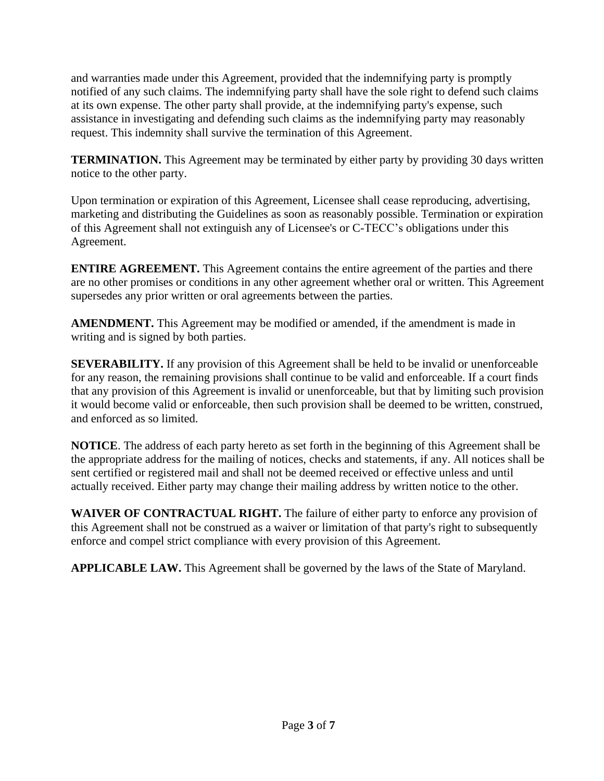and warranties made under this Agreement, provided that the indemnifying party is promptly notified of any such claims. The indemnifying party shall have the sole right to defend such claims at its own expense. The other party shall provide, at the indemnifying party's expense, such assistance in investigating and defending such claims as the indemnifying party may reasonably request. This indemnity shall survive the termination of this Agreement.

**TERMINATION.** This Agreement may be terminated by either party by providing 30 days written notice to the other party.

Upon termination or expiration of this Agreement, Licensee shall cease reproducing, advertising, marketing and distributing the Guidelines as soon as reasonably possible. Termination or expiration of this Agreement shall not extinguish any of Licensee's or C-TECC's obligations under this Agreement.

**ENTIRE AGREEMENT.** This Agreement contains the entire agreement of the parties and there are no other promises or conditions in any other agreement whether oral or written. This Agreement supersedes any prior written or oral agreements between the parties.

**AMENDMENT.** This Agreement may be modified or amended, if the amendment is made in writing and is signed by both parties.

**SEVERABILITY.** If any provision of this Agreement shall be held to be invalid or unenforceable for any reason, the remaining provisions shall continue to be valid and enforceable. If a court finds that any provision of this Agreement is invalid or unenforceable, but that by limiting such provision it would become valid or enforceable, then such provision shall be deemed to be written, construed, and enforced as so limited.

**NOTICE**. The address of each party hereto as set forth in the beginning of this Agreement shall be the appropriate address for the mailing of notices, checks and statements, if any. All notices shall be sent certified or registered mail and shall not be deemed received or effective unless and until actually received. Either party may change their mailing address by written notice to the other.

**WAIVER OF CONTRACTUAL RIGHT.** The failure of either party to enforce any provision of this Agreement shall not be construed as a waiver or limitation of that party's right to subsequently enforce and compel strict compliance with every provision of this Agreement.

**APPLICABLE LAW.** This Agreement shall be governed by the laws of the State of Maryland.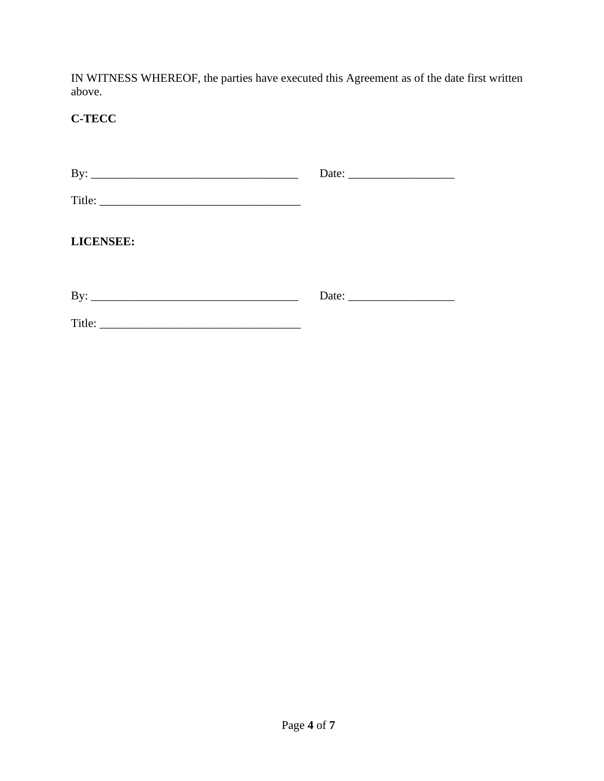IN WITNESS WHEREOF, the parties have executed this Agreement as of the date first written above.

## **C-TECC**

| <b>LICENSEE:</b> |  |
|------------------|--|
|                  |  |
|                  |  |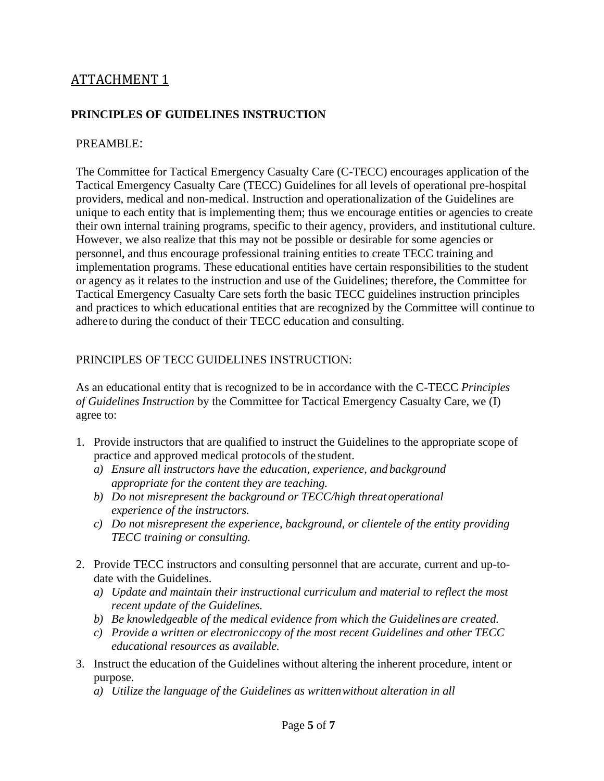## ATTACHMENT 1

### **PRINCIPLES OF GUIDELINES INSTRUCTION**

#### PREAMBLE:

The Committee for Tactical Emergency Casualty Care (C-TECC) encourages application of the Tactical Emergency Casualty Care (TECC) Guidelines for all levels of operational pre-hospital providers, medical and non-medical. Instruction and operationalization of the Guidelines are unique to each entity that is implementing them; thus we encourage entities or agencies to create their own internal training programs, specific to their agency, providers, and institutional culture. However, we also realize that this may not be possible or desirable for some agencies or personnel, and thus encourage professional training entities to create TECC training and implementation programs. These educational entities have certain responsibilities to the student or agency as it relates to the instruction and use of the Guidelines; therefore, the Committee for Tactical Emergency Casualty Care sets forth the basic TECC guidelines instruction principles and practices to which educational entities that are recognized by the Committee will continue to adhere to during the conduct of their TECC education and consulting.

#### PRINCIPLES OF TECC GUIDELINES INSTRUCTION:

As an educational entity that is recognized to be in accordance with the C-TECC *Principles of Guidelines Instruction* by the Committee for Tactical Emergency Casualty Care, we (I) agree to:

- 1. Provide instructors that are qualified to instruct the Guidelines to the appropriate scope of practice and approved medical protocols of the student.
	- *a) Ensure all instructors have the education, experience, and background appropriate for the content they are teaching.*
	- *b) Do not misrepresent the background or TECC/high threat operational experience of the instructors.*
	- *c) Do not misrepresent the experience, background, or clientele of the entity providing TECC training or consulting.*
- 2. Provide TECC instructors and consulting personnel that are accurate, current and up-todate with the Guidelines.
	- *a) Update and maintain their instructional curriculum and material to reflect the most recent update of the Guidelines.*
	- *b) Be knowledgeable of the medical evidence from which the Guidelines are created.*
	- *c) Provide a written or electroniccopy of the most recent Guidelines and other TECC educational resources as available.*
- 3. Instruct the education of the Guidelines without altering the inherent procedure, intent or purpose.
	- *a) Utilize the language of the Guidelines as writtenwithout alteration in all*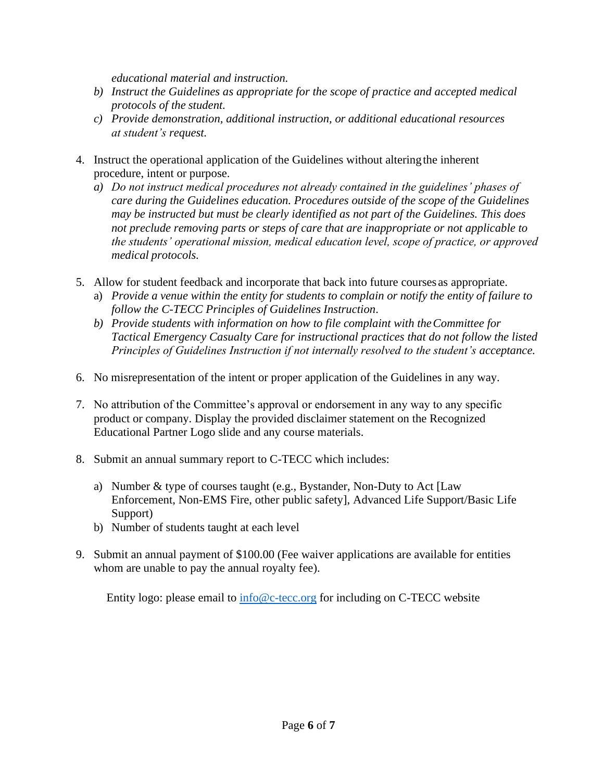*educational material and instruction.*

- *b) Instruct the Guidelines as appropriate for the scope of practice and accepted medical protocols of the student.*
- *c) Provide demonstration, additional instruction, or additional educational resources at student's request.*
- 4. Instruct the operational application of the Guidelines without alteringthe inherent procedure, intent or purpose.
	- *a) Do not instruct medical procedures not already contained in the guidelines' phases of care during the Guidelines education. Procedures outside of the scope of the Guidelines may be instructed but must be clearly identified as not part of the Guidelines. This does not preclude removing parts or steps of care that are inappropriate or not applicable to the students' operational mission, medical education level, scope of practice, or approved medical protocols.*
- 5. Allow for student feedback and incorporate that back into future courses as appropriate.
	- a) *Provide a venue within the entity for students to complain or notify the entity of failure to follow the C-TECC Principles of Guidelines Instruction*.
	- *b) Provide students with information on how to file complaint with theCommittee for Tactical Emergency Casualty Care for instructional practices that do not follow the listed Principles of Guidelines Instruction if not internally resolved to the student's acceptance.*
- 6. No misrepresentation of the intent or proper application of the Guidelines in any way.
- 7. No attribution of the Committee's approval or endorsement in any way to any specific product or company. Display the provided disclaimer statement on the Recognized Educational Partner Logo slide and any course materials.
- 8. Submit an annual summary report to C-TECC which includes:
	- a) Number & type of courses taught (e.g., Bystander, Non-Duty to Act [Law Enforcement, Non-EMS Fire, other public safety], Advanced Life Support/Basic Life Support)
	- b) Number of students taught at each level
- 9. Submit an annual payment of \$100.00 (Fee waiver applications are available for entities whom are unable to pay the annual royalty fee).

Entity logo: please email to [info@c-tecc.org](mailto:info@c-tecc.org) for including on C-TECC website